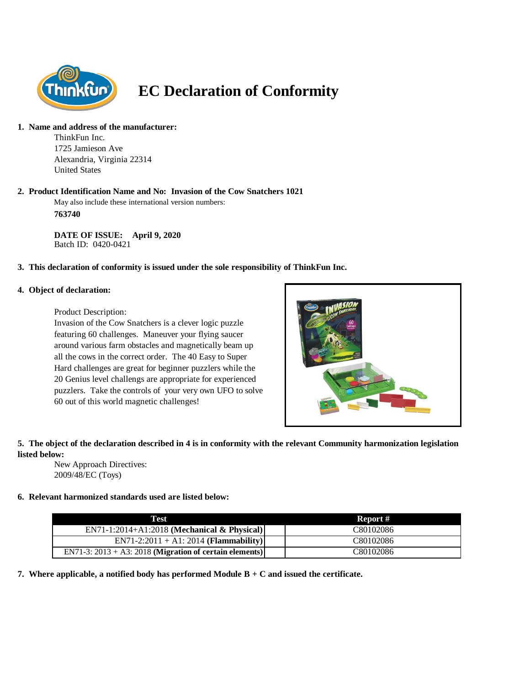

# **EC Declaration of Conformity**

## **1. Name and address of the manufacturer:**

ThinkFun Inc. 1725 Jamieson Ave Alexandria, Virginia 22314 United States

## **2. Product Identification Name and No: Invasion of the Cow Snatchers 1021**

May also include these international version numbers: **763740**

**DATE OF ISSUE: April 9, 2020** Batch ID: 0420-0421

### **3. This declaration of conformity is issued under the sole responsibility of ThinkFun Inc.**

### **4. Object of declaration:**

#### Product Description:

Invasion of the Cow Snatchers is a clever logic puzzle featuring 60 challenges. Maneuver your flying saucer around various farm obstacles and magnetically beam up all the cows in the correct order. The 40 Easy to Super Hard challenges are great for beginner puzzlers while the 20 Genius level challengs are appropriate for experienced puzzlers. Take the controls of your very own UFO to solve 60 out of this world magnetic challenges!



## **5. The object of the declaration described in 4 is in conformity with the relevant Community harmonization legislation listed below:**

New Approach Directives: 2009/48/EC (Toys)

## **6. Relevant harmonized standards used are listed below:**

| Test                                                       | Report #  |
|------------------------------------------------------------|-----------|
| $EN71-1:2014+A1:2018$ (Mechanical & Physical)              | C80102086 |
| $EN71-2:2011 + A1:2014 (Flammablity)$                      | C80102086 |
| EN71-3: $2013 + A3$ : 2018 (Migration of certain elements) | C80102086 |

**7. Where applicable, a notified body has performed Module B + C and issued the certificate.**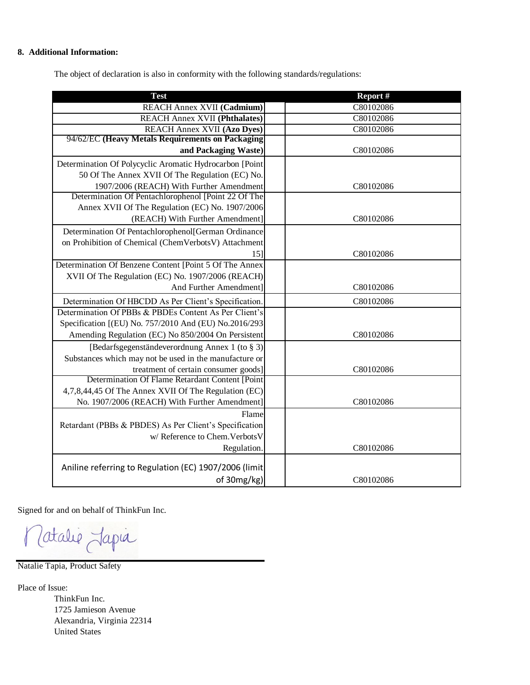## **8. Additional Information:**

The object of declaration is also in conformity with the following standards/regulations:

| <b>Test</b>                                             | Report #  |
|---------------------------------------------------------|-----------|
| REACH Annex XVII (Cadmium)                              | C80102086 |
| <b>REACH Annex XVII (Phthalates)</b>                    | C80102086 |
| <b>REACH Annex XVII (Azo Dyes)</b>                      | C80102086 |
| 94/62/EC (Heavy Metals Requirements on Packaging        |           |
| and Packaging Waste)                                    | C80102086 |
| Determination Of Polycyclic Aromatic Hydrocarbon [Point |           |
| 50 Of The Annex XVII Of The Regulation (EC) No.         |           |
| 1907/2006 (REACH) With Further Amendment                | C80102086 |
| Determination Of Pentachlorophenol [Point 22 Of The     |           |
| Annex XVII Of The Regulation (EC) No. 1907/2006         |           |
| (REACH) With Further Amendment]                         | C80102086 |
| Determination Of Pentachlorophenol[German Ordinance     |           |
| on Prohibition of Chemical (ChemVerbotsV) Attachment    |           |
| 15]                                                     | C80102086 |
| Determination Of Benzene Content [Point 5 Of The Annex  |           |
| XVII Of The Regulation (EC) No. 1907/2006 (REACH)       |           |
| And Further Amendment]                                  | C80102086 |
| Determination Of HBCDD As Per Client's Specification.   | C80102086 |
| Determination Of PBBs & PBDEs Content As Per Client's   |           |
| Specification [(EU) No. 757/2010 And (EU) No.2016/293   |           |
| Amending Regulation (EC) No 850/2004 On Persistent      | C80102086 |
| [Bedarfsgegenständeverordnung Annex 1 (to § 3)]         |           |
| Substances which may not be used in the manufacture or  |           |
| treatment of certain consumer goods]                    | C80102086 |
| Determination Of Flame Retardant Content [Point]        |           |
| 4,7,8,44,45 Of The Annex XVII Of The Regulation (EC)    |           |
| No. 1907/2006 (REACH) With Further Amendment]           | C80102086 |
| Flame                                                   |           |
| Retardant (PBBs & PBDES) As Per Client's Specification  |           |
| w/ Reference to Chem. Verbots V                         |           |
| Regulation.                                             | C80102086 |
|                                                         |           |
| Aniline referring to Regulation (EC) 1907/2006 (limit   |           |
| of 30mg/kg)                                             | C80102086 |

Signed for and on behalf of ThinkFun Inc.

Latalie Japia  $\sqrt$ 

Natalie Tapia, Product Safety

Place of Issue:

ThinkFun Inc. 1725 Jamieson Avenue Alexandria, Virginia 22314 United States